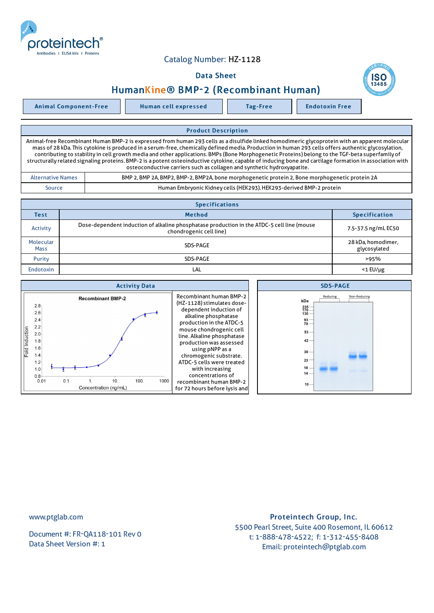

## Catalog Number: HZ-1128

### Data Sheet



# HumanKine® BMP-2 (Recombinant Human)

Animal Component-Free Human cell expressed Tag-Free | Endotoxin Free

#### Product Description

Animal-free Recombinant Human BMP-2 is expressed from human 293 cells as a disulfide linked homodimeric glycoprotein with an apparent molecular mass of 28 kDa. This cytokine is produced in a serum-free, chemically defined media. Production in human 293 cells offers authentic glycosylation, contributing to stability in cell growth media and other applications. BMPs (Bone Morphogenetic Proteins) belong to the TGF-beta superfamily of structurally related signaling proteins. BMP-2 is a potent osteoinductive cytokine, capable of inducing bone and cartilage formation in association with osteoconductive carriers such as collagen and synthetic hydroxyapatite.

| Alternative Names | BMP 2, BMP 2A, BMP2, BMP-2, BMP2A, bone morphogenetic protein 2, Bone morphogenetic protein 2A |  |
|-------------------|------------------------------------------------------------------------------------------------|--|
| Source            | Human Embryonic Kidney cells (HEK293). HEK293-derived BMP-2 protein                            |  |

| <b>Specifications</b>    |                                                                                                                       |                                    |  |  |
|--------------------------|-----------------------------------------------------------------------------------------------------------------------|------------------------------------|--|--|
| <b>Test</b>              | <b>Method</b>                                                                                                         | <b>Specification</b>               |  |  |
| Activity                 | Dose-dependent induction of alkaline phosphatase production in the ATDC-5 cell line (mouse<br>chondrogenic cell line) | 7.5-37.5 ng/mL EC50                |  |  |
| Molecular<br><b>Mass</b> | SDS-PAGE                                                                                                              | 28 kDa, homodimer,<br>glycosylated |  |  |
| Purity                   | SDS-PAGE                                                                                                              | >95%                               |  |  |
| <b>Endotoxin</b>         | LAL                                                                                                                   | $<$ 1 EU/µg                        |  |  |

| <b>Activity Data</b>                                                                                                                                                                                                                                           | <b>SDS-PAGE</b>                                                                                                                                                                                                                                                                                                                                                                                              |                                                                                                                                                             |
|----------------------------------------------------------------------------------------------------------------------------------------------------------------------------------------------------------------------------------------------------------------|--------------------------------------------------------------------------------------------------------------------------------------------------------------------------------------------------------------------------------------------------------------------------------------------------------------------------------------------------------------------------------------------------------------|-------------------------------------------------------------------------------------------------------------------------------------------------------------|
| <b>Recombinant BMP-2</b><br>2.8 <sub>1</sub><br>$2.6 -$<br>2.4<br>2.2 <sub>1</sub><br>Fold Induction<br>$2.0 +$<br>1.8 <sup>5</sup><br>$1.6 +$<br>1.4<br>$1.2 -$<br>1.0 <sub>1</sub><br>$0.8 +$<br>0.1<br>100.<br>10.<br>1000<br>0.01<br>Concentration (ng/mL) | <b>Recombinant human BMP-2</b><br>(HZ-1128) stimulates dose-<br>dependent induction of<br>alkaline phosphatase<br>production in the ATDC-5<br>mouse chondrogenic cell<br>line. Alkaline phosphatase<br>production was assessed<br>using pNPP as a<br>chromogenic substrate.<br>ATDC-5 cells were treated<br>with increasing<br>concentrations of<br>recombinant human BMP-2<br>for 72 hours before lysis and | Reducing<br>Non-Reducing<br>kDa<br>$\frac{235}{170}$<br>130 -<br>$93 -$<br>$70 -$<br>$53 -$<br>$42 -$<br>$30 -$<br>$23 -$<br>18<br>14 <sub>1</sub><br>$10-$ |

www.ptglab.com

Document #: FR-QA118-101 Rev 0 Data Sheet Version #: 1

## Proteintech Group, Inc. 5500 Pearl Street, Suite 400 Rosemont, IL 60612 t: 1-888-478-4522; f: 1-312-455-8408 Email: proteintech@ptglab.com